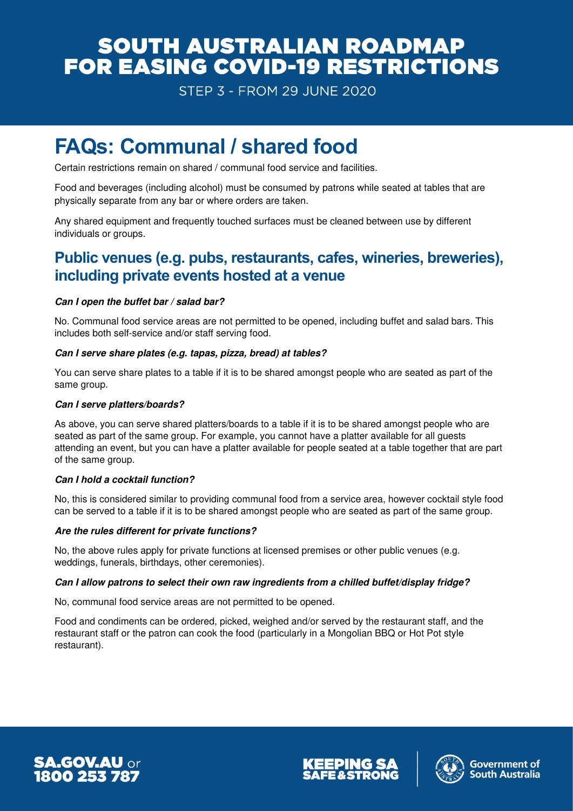## **SOUTH AUSTRALIAN ROADMAP** FOR EASING COVID-19 RESTRICTIONS

**STEP 3 - FROM 29 JUNE 2020** 

# **FAQs: Communal / shared food**

Certain restrictions remain on shared / communal food service and facilities.

Food and beverages (including alcohol) must be consumed by patrons while seated at tables that are physically separate from any bar or where orders are taken.

Any shared equipment and frequently touched surfaces must be cleaned between use by different individuals or groups.

### **Public venues (e.g. pubs, restaurants, cafes, wineries, breweries), including private events hosted at a venue**

#### *Can I open the buffet bar / salad bar?*

No. Communal food service areas are not permitted to be opened, including buffet and salad bars. This includes both self-service and/or staff serving food.

#### *Can I serve share plates (e.g. tapas, pizza, bread) at tables?*

You can serve share plates to a table if it is to be shared amongst people who are seated as part of the same group.

#### *Can I serve platters/boards?*

As above, you can serve shared platters/boards to a table if it is to be shared amongst people who are seated as part of the same group. For example, you cannot have a platter available for all guests attending an event, but you can have a platter available for people seated at a table together that are part of the same group.

#### *Can I hold a cocktail function?*

No, this is considered similar to providing communal food from a service area, however cocktail style food can be served to a table if it is to be shared amongst people who are seated as part of the same group.

#### *Are the rules different for private functions?*

No, the above rules apply for private functions at licensed premises or other public venues (e.g. weddings, funerals, birthdays, other ceremonies).

#### *Can I allow patrons to select their own raw ingredients from a chilled buffet/display fridge?*

No, communal food service areas are not permitted to be opened.

Food and condiments can be ordered, picked, weighed and/or served by the restaurant staff, and the restaurant staff or the patron can cook the food (particularly in a Mongolian BBQ or Hot Pot style restaurant).





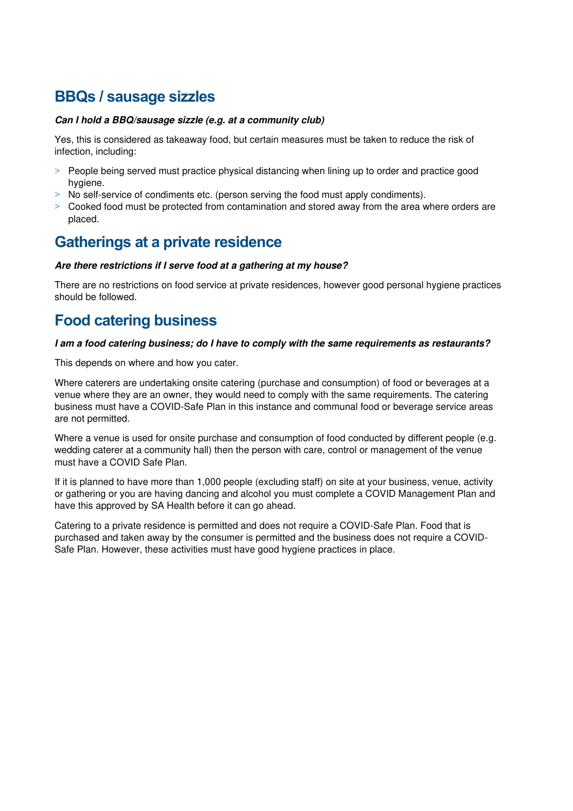## **BBQs / sausage sizzles**

#### *Can I hold a BBQ/sausage sizzle (e.g. at a community club)*

Yes, this is considered as takeaway food, but certain measures must be taken to reduce the risk of infection, including:

- > People being served must practice physical distancing when lining up to order and practice good hygiene.
- > No self-service of condiments etc. (person serving the food must apply condiments).
- ˃ Cooked food must be protected from contamination and stored away from the area where orders are placed.

### **Gatherings at a private residence**

#### *Are there restrictions if I serve food at a gathering at my house?*

There are no restrictions on food service at private residences, however good personal hygiene practices should be followed.

### **Food catering business**

#### *I am a food catering business; do I have to comply with the same requirements as restaurants?*

This depends on where and how you cater.

Where caterers are undertaking onsite catering (purchase and consumption) of food or beverages at a venue where they are an owner, they would need to comply with the same requirements. The catering business must have a [COVID-Safe Plan](https://www.covid-19.sa.gov.au/recovery/create-a-covid-safe-plan) in this instance and communal food or beverage service areas are not permitted.

Where a venue is used for onsite purchase and consumption of food conducted by different people (e.g. wedding caterer at a community hall) then the person with care, control or management of the venue must have a COVID Safe Plan.

If it is planned to have more than 1,000 people (excluding staff) on site at your business, venue, activity or gathering or you are having dancing and alcohol you must complete a COVID Management Plan and have this approved by SA Health before it can go ahead.

Catering to a private residence is permitted and does not require a COVID-Safe Plan. Food that is purchased and taken away by the consumer is permitted and the business does not require a COVID-Safe Plan. However, these activities must have good hygiene practices in place.